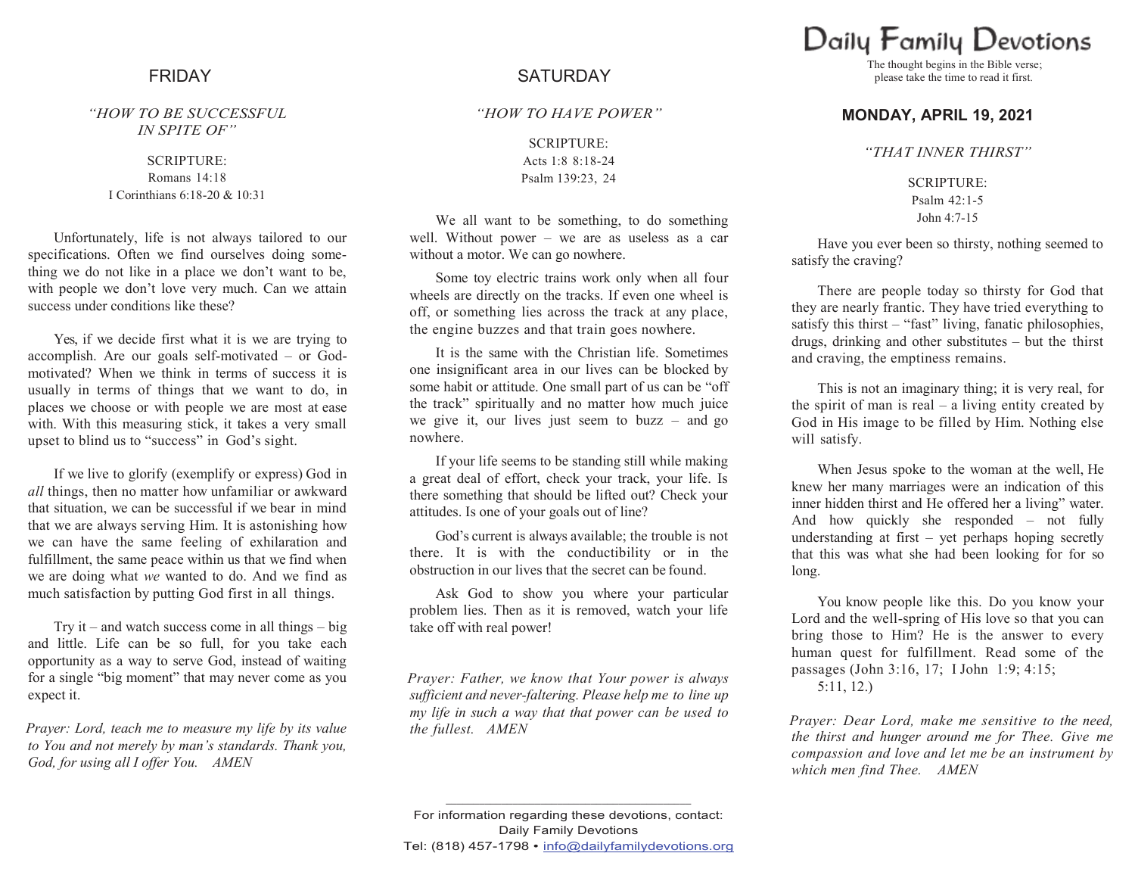*"HOW TO BE SUCCESSFUL IN SPITE OF"*

> SCRIPTURE: Romans 14:18 I Corinthians 6:18-20 & 10:31

Unfortunately, life is not always tailored to our specifications. Often we find ourselves doing something we do not like in a place we don't want to be, with people we don't love very much. Can we attain success under conditions like these?

Yes, if we decide first what it is we are trying to accomplish. Are our goals self-motivated – or Godmotivated? When we think in terms of success it is usually in terms of things that we want to do, in places we choose or with people we are most at ease with. With this measuring stick, it takes a very small upset to blind us to "success" in God's sight.

If we live to glorify (exemplify or express) God in *all* things, then no matter how unfamiliar or awkward that situation, we can be successful if we bear in mind that we are always serving Him. It is astonishing how we can have the same feeling of exhilaration and fulfillment, the same peace within us that we find when we are doing what *we* wanted to do. And we find as much satisfaction by putting God first in all things.

Try it – and watch success come in all things – big and little. Life can be so full, for you take each opportunity as a way to serve God, instead of waiting for a single "big moment" that may never come as you expect it.

*Prayer: Lord, teach me to measure my life by its value to You and not merely by man's standards. Thank you, God, for using all I offer You. AMEN*

## FRIDAY SATURDAY

## *"HOW TO HAVE POWER"*

SCRIPTURE: Acts 1:8 8:18-24 Psalm 139:23, 24

We all want to be something, to do something well. Without power – we are as useless as a car without a motor. We can go nowhere.

Some toy electric trains work only when all four wheels are directly on the tracks. If even one wheel is off, or something lies across the track at any place, the engine buzzes and that train goes nowhere.

It is the same with the Christian life. Sometimes one insignificant area in our lives can be blocked by some habit or attitude. One small part of us can be "off the track" spiritually and no matter how much juice we give it, our lives just seem to buzz – and go nowhere.

If your life seems to be standing still while making a great deal of effort, check your track, your life. Is there something that should be lifted out? Check your attitudes. Is one of your goals out of line?

God's current is always available; the trouble is not there. It is with the conductibility or in the obstruction in our lives that the secret can be found.

Ask God to show you where your particular problem lies. Then as it is removed, watch your life take off with real power!

*Prayer: Father, we know that Your power is always sufficient and never-faltering. Please help me to line up my life in such a way that that power can be used to the fullest. AMEN*

Daily Family Devotions

The thought begins in the Bible verse; please take the time to read it first.

## **MONDAY, APRIL 19, 2021**

*"THAT INNER THIRST"*

SCRIPTURE: Psalm 42:1-5 John 4:7-15

Have you ever been so thirsty, nothing seemed to satisfy the craving?

There are people today so thirsty for God that they are nearly frantic. They have tried everything to satisfy this thirst – "fast" living, fanatic philosophies, drugs, drinking and other substitutes – but the thirst and craving, the emptiness remains.

This is not an imaginary thing; it is very real, for the spirit of man is real  $-$  a living entity created by God in His image to be filled by Him. Nothing else will satisfy.

When Jesus spoke to the woman at the well, He knew her many marriages were an indication of this inner hidden thirst and He offered her a living" water. And how quickly she responded – not fully understanding at first – yet perhaps hoping secretly that this was what she had been looking for for so long.

You know people like this. Do you know your Lord and the well-spring of His love so that you can bring those to Him? He is the answer to every human quest for fulfillment. Read some of the passages (John 3:16, 17; I John 1:9; 4:15; 5:11, 12.)

*Prayer: Dear Lord, make me sensitive to the need, the thirst and hunger around me for Thee. Give me compassion and love and let me be an instrument by which men find Thee. AMEN*

**\_\_\_\_\_\_\_\_\_\_\_\_\_\_\_\_\_\_\_\_\_\_\_\_\_\_\_\_\_\_\_\_\_\_\_\_\_\_\_\_\_\_\_\_**